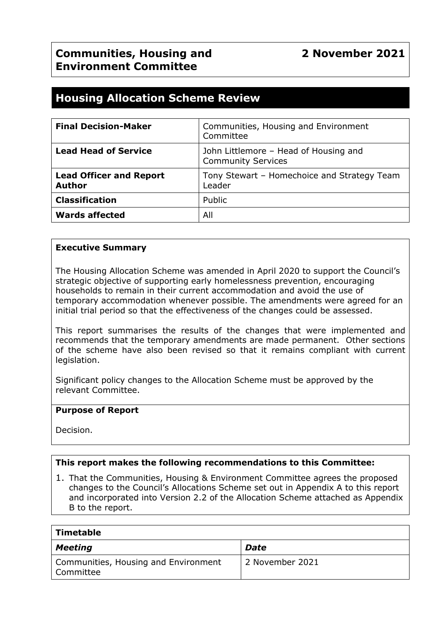# **Housing Allocation Scheme Review**

| <b>Final Decision-Maker</b>                     | Communities, Housing and Environment<br>Committee                  |
|-------------------------------------------------|--------------------------------------------------------------------|
| <b>Lead Head of Service</b>                     | John Littlemore - Head of Housing and<br><b>Community Services</b> |
| <b>Lead Officer and Report</b><br><b>Author</b> | Tony Stewart - Homechoice and Strategy Team<br>Leader              |
| <b>Classification</b>                           | Public                                                             |
| <b>Wards affected</b>                           | All                                                                |

#### **Executive Summary**

The Housing Allocation Scheme was amended in April 2020 to support the Council's strategic objective of supporting early homelessness prevention, encouraging households to remain in their current accommodation and avoid the use of temporary accommodation whenever possible. The amendments were agreed for an initial trial period so that the effectiveness of the changes could be assessed.

This report summarises the results of the changes that were implemented and recommends that the temporary amendments are made permanent. Other sections of the scheme have also been revised so that it remains compliant with current legislation.

Significant policy changes to the Allocation Scheme must be approved by the relevant Committee.

#### **Purpose of Report**

Decision.

#### **This report makes the following recommendations to this Committee:**

1. That the Communities, Housing & Environment Committee agrees the proposed changes to the Council's Allocations Scheme set out in Appendix A to this report and incorporated into Version 2.2 of the Allocation Scheme attached as Appendix B to the report.

| Timetable                                           |                 |  |  |  |
|-----------------------------------------------------|-----------------|--|--|--|
| <b>Meeting</b>                                      | Date            |  |  |  |
| Communities, Housing and Environment<br>' Committee | 2 November 2021 |  |  |  |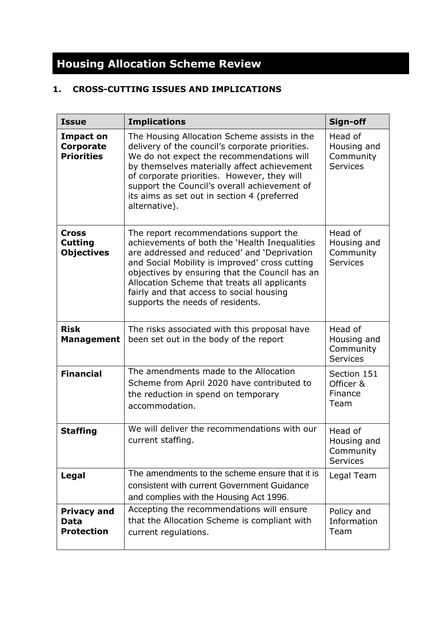# **Housing Allocation Scheme Review**

# **1. CROSS-CUTTING ISSUES AND IMPLICATIONS**

| <b>Issue</b>                                              | <b>Implications</b>                                                                                                                                                                                                                                                                                                                                                        | Sign-off                                               |
|-----------------------------------------------------------|----------------------------------------------------------------------------------------------------------------------------------------------------------------------------------------------------------------------------------------------------------------------------------------------------------------------------------------------------------------------------|--------------------------------------------------------|
| <b>Impact on</b><br><b>Corporate</b><br><b>Priorities</b> | The Housing Allocation Scheme assists in the<br>delivery of the council's corporate priorities.<br>We do not expect the recommendations will<br>by themselves materially affect achievement<br>of corporate priorities. However, they will<br>support the Council's overall achievement of<br>its aims as set out in section 4 (preferred<br>alternative).                 | Head of<br>Housing and<br>Community<br><b>Services</b> |
| <b>Cross</b><br><b>Cutting</b><br><b>Objectives</b>       | The report recommendations support the<br>achievements of both the 'Health Inequalities<br>are addressed and reduced' and 'Deprivation<br>and Social Mobility is improved' cross cutting<br>objectives by ensuring that the Council has an<br>Allocation Scheme that treats all applicants<br>fairly and that access to social housing<br>supports the needs of residents. | Head of<br>Housing and<br>Community<br><b>Services</b> |
| <b>Risk</b><br><b>Management</b>                          | The risks associated with this proposal have<br>been set out in the body of the report                                                                                                                                                                                                                                                                                     | Head of<br>Housing and<br>Community<br>Services        |
| <b>Financial</b>                                          | The amendments made to the Allocation<br>Scheme from April 2020 have contributed to<br>the reduction in spend on temporary<br>accommodation.                                                                                                                                                                                                                               | Section 151<br>Officer &<br>Finance<br>Team            |
| <b>Staffing</b>                                           | We will deliver the recommendations with our<br>current staffing.                                                                                                                                                                                                                                                                                                          | Head of<br>Housing and<br>Community<br><b>Services</b> |
| <b>Legal</b>                                              | The amendments to the scheme ensure that it is<br>consistent with current Government Guidance<br>and complies with the Housing Act 1996.                                                                                                                                                                                                                                   | Legal Team                                             |
| <b>Privacy and</b><br>Data<br><b>Protection</b>           | Accepting the recommendations will ensure<br>that the Allocation Scheme is compliant with<br>current regulations.                                                                                                                                                                                                                                                          | Policy and<br>Information<br>Team                      |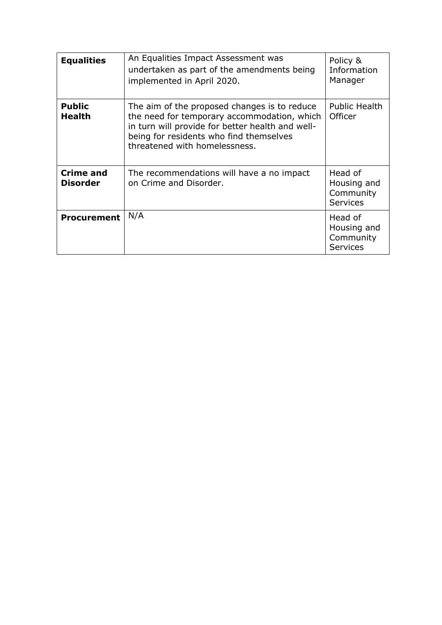| <b>Equalities</b>                   | An Equalities Impact Assessment was<br>undertaken as part of the amendments being<br>implemented in April 2020.                                                                                                             | Policy &<br>Information<br>Manager                     |
|-------------------------------------|-----------------------------------------------------------------------------------------------------------------------------------------------------------------------------------------------------------------------------|--------------------------------------------------------|
| <b>Public</b><br><b>Health</b>      | The aim of the proposed changes is to reduce<br>the need for temporary accommodation, which<br>in turn will provide for better health and well-<br>being for residents who find themselves<br>threatened with homelessness. | Public Health<br>Officer                               |
| <b>Crime and</b><br><b>Disorder</b> | The recommendations will have a no impact<br>on Crime and Disorder.                                                                                                                                                         | Head of<br>Housing and<br>Community<br><b>Services</b> |
| <b>Procurement</b>                  | N/A                                                                                                                                                                                                                         | Head of<br>Housing and<br>Community<br><b>Services</b> |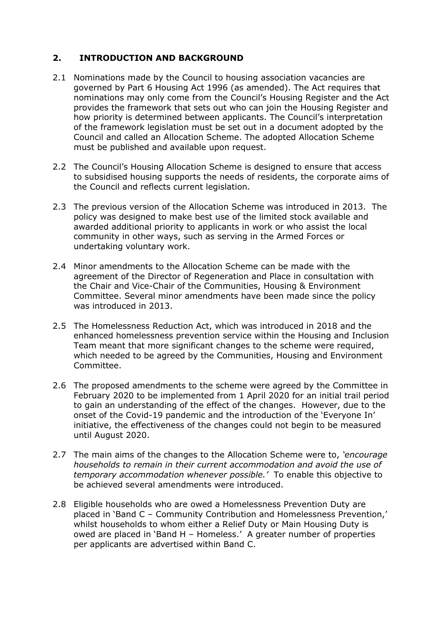### **2. INTRODUCTION AND BACKGROUND**

- 2.1 Nominations made by the Council to housing association vacancies are governed by Part 6 Housing Act 1996 (as amended). The Act requires that nominations may only come from the Council's Housing Register and the Act provides the framework that sets out who can join the Housing Register and how priority is determined between applicants. The Council's interpretation of the framework legislation must be set out in a document adopted by the Council and called an Allocation Scheme. The adopted Allocation Scheme must be published and available upon request.
- 2.2 The Council's Housing Allocation Scheme is designed to ensure that access to subsidised housing supports the needs of residents, the corporate aims of the Council and reflects current legislation.
- 2.3 The previous version of the Allocation Scheme was introduced in 2013. The policy was designed to make best use of the limited stock available and awarded additional priority to applicants in work or who assist the local community in other ways, such as serving in the Armed Forces or undertaking voluntary work.
- 2.4 Minor amendments to the Allocation Scheme can be made with the agreement of the Director of Regeneration and Place in consultation with the Chair and Vice-Chair of the Communities, Housing & Environment Committee. Several minor amendments have been made since the policy was introduced in 2013.
- 2.5 The Homelessness Reduction Act, which was introduced in 2018 and the enhanced homelessness prevention service within the Housing and Inclusion Team meant that more significant changes to the scheme were required, which needed to be agreed by the Communities, Housing and Environment Committee.
- 2.6 The proposed amendments to the scheme were agreed by the Committee in February 2020 to be implemented from 1 April 2020 for an initial trail period to gain an understanding of the effect of the changes. However, due to the onset of the Covid-19 pandemic and the introduction of the 'Everyone In' initiative, the effectiveness of the changes could not begin to be measured until August 2020.
- 2.7 The main aims of the changes to the Allocation Scheme were to, *'encourage households to remain in their current accommodation and avoid the use of temporary accommodation whenever possible.'* To enable this objective to be achieved several amendments were introduced.
- 2.8 Eligible households who are owed a Homelessness Prevention Duty are placed in 'Band C – Community Contribution and Homelessness Prevention,' whilst households to whom either a Relief Duty or Main Housing Duty is owed are placed in 'Band H – Homeless.' A greater number of properties per applicants are advertised within Band C.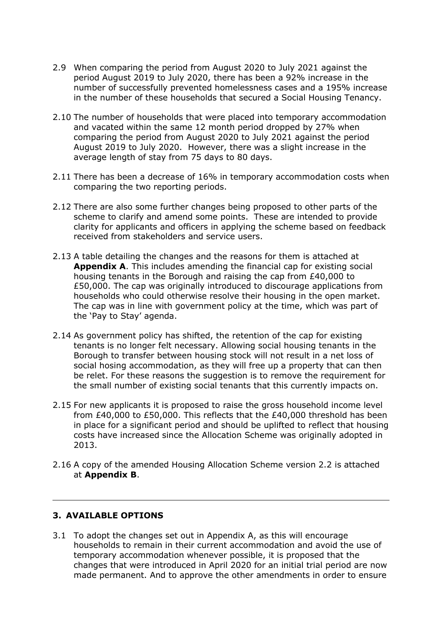- 2.9 When comparing the period from August 2020 to July 2021 against the period August 2019 to July 2020, there has been a 92% increase in the number of successfully prevented homelessness cases and a 195% increase in the number of these households that secured a Social Housing Tenancy.
- 2.10 The number of households that were placed into temporary accommodation and vacated within the same 12 month period dropped by 27% when comparing the period from August 2020 to July 2021 against the period August 2019 to July 2020. However, there was a slight increase in the average length of stay from 75 days to 80 days.
- 2.11 There has been a decrease of 16% in temporary accommodation costs when comparing the two reporting periods.
- 2.12 There are also some further changes being proposed to other parts of the scheme to clarify and amend some points. These are intended to provide clarity for applicants and officers in applying the scheme based on feedback received from stakeholders and service users.
- 2.13 A table detailing the changes and the reasons for them is attached at **Appendix A**. This includes amending the financial cap for existing social housing tenants in the Borough and raising the cap from £40,000 to £50,000. The cap was originally introduced to discourage applications from households who could otherwise resolve their housing in the open market. The cap was in line with government policy at the time, which was part of the 'Pay to Stay' agenda.
- 2.14 As government policy has shifted, the retention of the cap for existing tenants is no longer felt necessary. Allowing social housing tenants in the Borough to transfer between housing stock will not result in a net loss of social hosing accommodation, as they will free up a property that can then be relet. For these reasons the suggestion is to remove the requirement for the small number of existing social tenants that this currently impacts on.
- 2.15 For new applicants it is proposed to raise the gross household income level from £40,000 to £50,000. This reflects that the £40,000 threshold has been in place for a significant period and should be uplifted to reflect that housing costs have increased since the Allocation Scheme was originally adopted in 2013.
- 2.16 A copy of the amended Housing Allocation Scheme version 2.2 is attached at **Appendix B**.

#### **3. AVAILABLE OPTIONS**

3.1 To adopt the changes set out in Appendix A, as this will encourage households to remain in their current accommodation and avoid the use of temporary accommodation whenever possible, it is proposed that the changes that were introduced in April 2020 for an initial trial period are now made permanent. And to approve the other amendments in order to ensure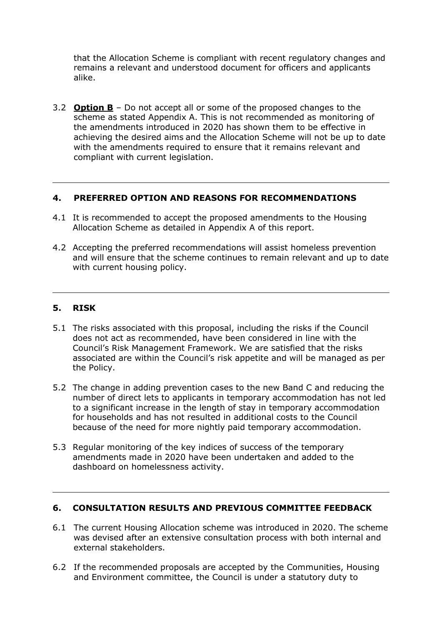that the Allocation Scheme is compliant with recent regulatory changes and remains a relevant and understood document for officers and applicants alike.

3.2 **Option B** – Do not accept all or some of the proposed changes to the scheme as stated Appendix A. This is not recommended as monitoring of the amendments introduced in 2020 has shown them to be effective in achieving the desired aims and the Allocation Scheme will not be up to date with the amendments required to ensure that it remains relevant and compliant with current legislation.

#### **4. PREFERRED OPTION AND REASONS FOR RECOMMENDATIONS**

- 4.1 It is recommended to accept the proposed amendments to the Housing Allocation Scheme as detailed in Appendix A of this report.
- 4.2 Accepting the preferred recommendations will assist homeless prevention and will ensure that the scheme continues to remain relevant and up to date with current housing policy.

#### **5. RISK**

- 5.1 The risks associated with this proposal, including the risks if the Council does not act as recommended, have been considered in line with the Council's Risk Management Framework. We are satisfied that the risks associated are within the Council's risk appetite and will be managed as per the Policy.
- 5.2 The change in adding prevention cases to the new Band C and reducing the number of direct lets to applicants in temporary accommodation has not led to a significant increase in the length of stay in temporary accommodation for households and has not resulted in additional costs to the Council because of the need for more nightly paid temporary accommodation.
- 5.3 Regular monitoring of the key indices of success of the temporary amendments made in 2020 have been undertaken and added to the dashboard on homelessness activity.

#### **6. CONSULTATION RESULTS AND PREVIOUS COMMITTEE FEEDBACK**

- 6.1 The current Housing Allocation scheme was introduced in 2020. The scheme was devised after an extensive consultation process with both internal and external stakeholders.
- 6.2 If the recommended proposals are accepted by the Communities, Housing and Environment committee, the Council is under a statutory duty to